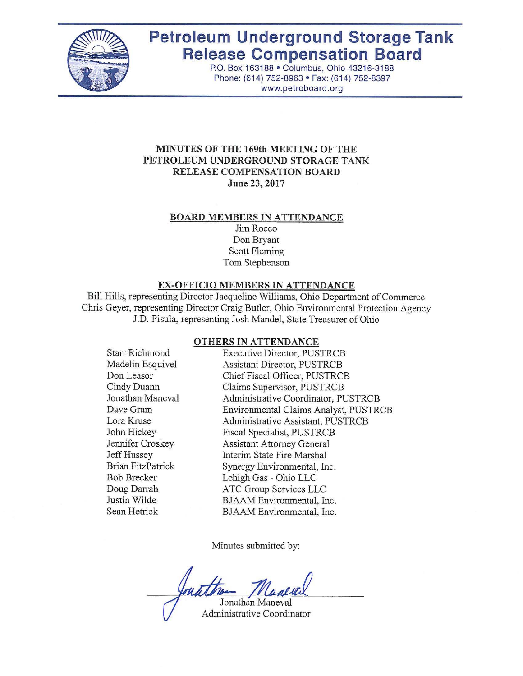

# **Petroleum Underground Storage Tank Release Compensation Board**

P.o. Box 163188 • Columbus, Ohio 43216-3188 Phone: (614) 752-8963 • Fax: (614) 752-8397 www.petroboard.org

#### **MINUTES OF THE 169th MEETING OF THE PETROLEUM UNDERGROUND STORAGE TANK RELEASE COMPENSATION BOARD June 23, 2017**

#### **BOARD MEMBERS IN ATTENDANCE**

Jim Rocco Don Bryant Scott Fleming Tom Stephenson

#### **EX-OFFICIO MEMBERS IN ATTENDANCE**

Bill Hills, representing Director Jacqueline Williams, Ohio Department of Commerce Chris Geyer, representing Director Craig Butler, Ohio Environmental Protection Agency J.D. Pisula, representing Josh Mandel, State Treasurer of Ohio

#### **OTHERS IN ATTENDANCE**

| <b>Starr Richmond</b>    | <b>Executive Director, PUSTRCB</b>    |
|--------------------------|---------------------------------------|
| Madelin Esquivel         | Assistant Director, PUSTRCB           |
| Don Leasor               | Chief Fiscal Officer, PUSTRCB         |
| Cindy Duann              | Claims Supervisor, PUSTRCB            |
| Jonathan Maneval         | Administrative Coordinator, PUSTRCB   |
| Dave Gram                | Environmental Claims Analyst, PUSTRCB |
| Lora Kruse               | Administrative Assistant, PUSTRCB     |
| John Hickey              | Fiscal Specialist, PUSTRCB            |
| Jennifer Croskey         | <b>Assistant Attorney General</b>     |
| Jeff Hussey              | Interim State Fire Marshal            |
| <b>Brian FitzPatrick</b> | Synergy Environmental, Inc.           |
| <b>Bob Brecker</b>       | Lehigh Gas - Ohio LLC                 |
| Doug Darrah              | ATC Group Services LLC                |
| Justin Wilde             | BJAAM Environmental, Inc.             |
| Sean Hetrick             | BJAAM Environmental, Inc.             |
|                          |                                       |

Minutes submitted by:

Jonathan Maneval

Administrative Coordinator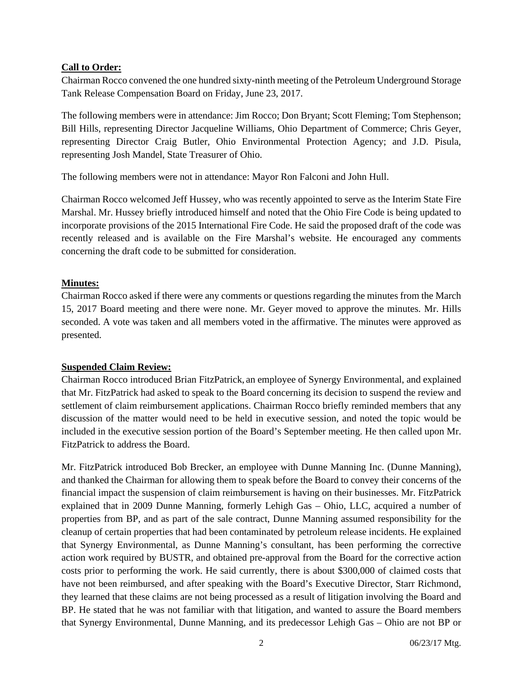#### **Call to Order:**

Chairman Rocco convened the one hundred sixty-ninth meeting of the Petroleum Underground Storage Tank Release Compensation Board on Friday, June 23, 2017.

The following members were in attendance: Jim Rocco; Don Bryant; Scott Fleming; Tom Stephenson; Bill Hills, representing Director Jacqueline Williams, Ohio Department of Commerce; Chris Geyer, representing Director Craig Butler, Ohio Environmental Protection Agency; and J.D. Pisula, representing Josh Mandel, State Treasurer of Ohio.

The following members were not in attendance: Mayor Ron Falconi and John Hull.

Chairman Rocco welcomed Jeff Hussey, who was recently appointed to serve as the Interim State Fire Marshal. Mr. Hussey briefly introduced himself and noted that the Ohio Fire Code is being updated to incorporate provisions of the 2015 International Fire Code. He said the proposed draft of the code was recently released and is available on the Fire Marshal's website. He encouraged any comments concerning the draft code to be submitted for consideration.

## **Minutes:**

Chairman Rocco asked if there were any comments or questions regarding the minutes from the March 15, 2017 Board meeting and there were none. Mr. Geyer moved to approve the minutes. Mr. Hills seconded. A vote was taken and all members voted in the affirmative. The minutes were approved as presented.

#### **Suspended Claim Review:**

Chairman Rocco introduced Brian FitzPatrick, an employee of Synergy Environmental, and explained that Mr. FitzPatrick had asked to speak to the Board concerning its decision to suspend the review and settlement of claim reimbursement applications. Chairman Rocco briefly reminded members that any discussion of the matter would need to be held in executive session, and noted the topic would be included in the executive session portion of the Board's September meeting. He then called upon Mr. FitzPatrick to address the Board.

Mr. FitzPatrick introduced Bob Brecker, an employee with Dunne Manning Inc. (Dunne Manning), and thanked the Chairman for allowing them to speak before the Board to convey their concerns of the financial impact the suspension of claim reimbursement is having on their businesses. Mr. FitzPatrick explained that in 2009 Dunne Manning, formerly Lehigh Gas – Ohio, LLC, acquired a number of properties from BP, and as part of the sale contract, Dunne Manning assumed responsibility for the cleanup of certain properties that had been contaminated by petroleum release incidents. He explained that Synergy Environmental, as Dunne Manning's consultant, has been performing the corrective action work required by BUSTR, and obtained pre-approval from the Board for the corrective action costs prior to performing the work. He said currently, there is about \$300,000 of claimed costs that have not been reimbursed, and after speaking with the Board's Executive Director, Starr Richmond, they learned that these claims are not being processed as a result of litigation involving the Board and BP. He stated that he was not familiar with that litigation, and wanted to assure the Board members that Synergy Environmental, Dunne Manning, and its predecessor Lehigh Gas – Ohio are not BP or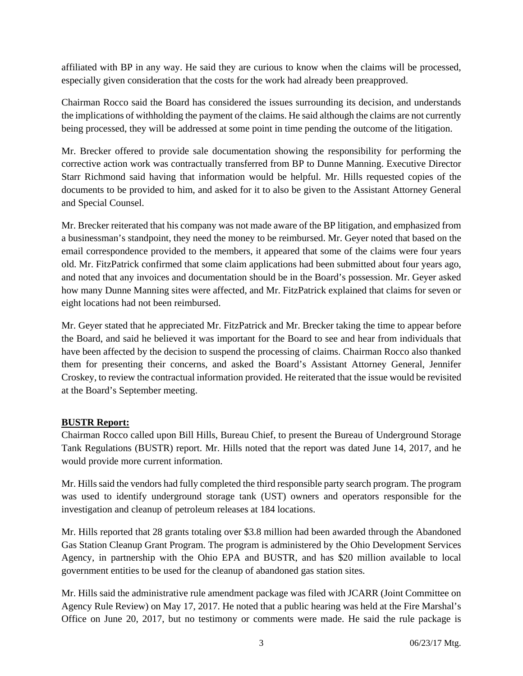affiliated with BP in any way. He said they are curious to know when the claims will be processed, especially given consideration that the costs for the work had already been preapproved.

Chairman Rocco said the Board has considered the issues surrounding its decision, and understands the implications of withholding the payment of the claims. He said although the claims are not currently being processed, they will be addressed at some point in time pending the outcome of the litigation.

Mr. Brecker offered to provide sale documentation showing the responsibility for performing the corrective action work was contractually transferred from BP to Dunne Manning. Executive Director Starr Richmond said having that information would be helpful. Mr. Hills requested copies of the documents to be provided to him, and asked for it to also be given to the Assistant Attorney General and Special Counsel.

Mr. Brecker reiterated that his company was not made aware of the BP litigation, and emphasized from a businessman's standpoint, they need the money to be reimbursed. Mr. Geyer noted that based on the email correspondence provided to the members, it appeared that some of the claims were four years old. Mr. FitzPatrick confirmed that some claim applications had been submitted about four years ago, and noted that any invoices and documentation should be in the Board's possession. Mr. Geyer asked how many Dunne Manning sites were affected, and Mr. FitzPatrick explained that claims for seven or eight locations had not been reimbursed.

Mr. Geyer stated that he appreciated Mr. FitzPatrick and Mr. Brecker taking the time to appear before the Board, and said he believed it was important for the Board to see and hear from individuals that have been affected by the decision to suspend the processing of claims. Chairman Rocco also thanked them for presenting their concerns, and asked the Board's Assistant Attorney General, Jennifer Croskey, to review the contractual information provided. He reiterated that the issue would be revisited at the Board's September meeting.

#### **BUSTR Report:**

Chairman Rocco called upon Bill Hills, Bureau Chief, to present the Bureau of Underground Storage Tank Regulations (BUSTR) report. Mr. Hills noted that the report was dated June 14, 2017, and he would provide more current information.

Mr. Hills said the vendors had fully completed the third responsible party search program. The program was used to identify underground storage tank (UST) owners and operators responsible for the investigation and cleanup of petroleum releases at 184 locations.

Mr. Hills reported that 28 grants totaling over \$3.8 million had been awarded through the Abandoned Gas Station Cleanup Grant Program. The program is administered by the Ohio Development Services Agency, in partnership with the Ohio EPA and BUSTR, and has \$20 million available to local government entities to be used for the cleanup of abandoned gas station sites.

Mr. Hills said the administrative rule amendment package was filed with JCARR (Joint Committee on Agency Rule Review) on May 17, 2017. He noted that a public hearing was held at the Fire Marshal's Office on June 20, 2017, but no testimony or comments were made. He said the rule package is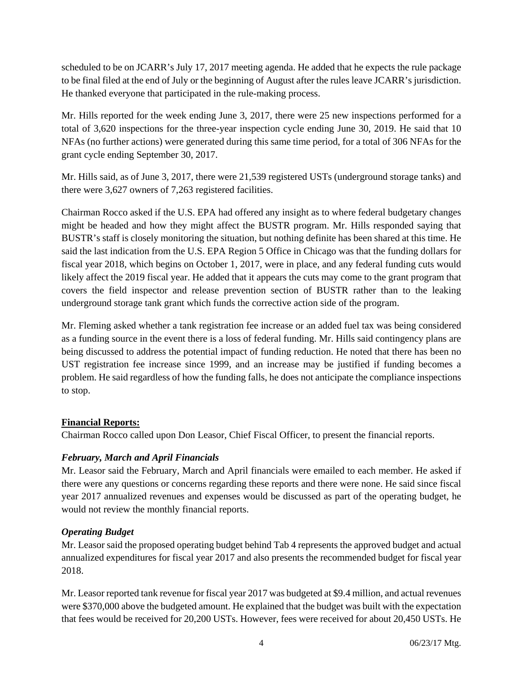scheduled to be on JCARR's July 17, 2017 meeting agenda. He added that he expects the rule package to be final filed at the end of July or the beginning of August after the rules leave JCARR's jurisdiction. He thanked everyone that participated in the rule-making process.

Mr. Hills reported for the week ending June 3, 2017, there were 25 new inspections performed for a total of 3,620 inspections for the three-year inspection cycle ending June 30, 2019. He said that 10 NFAs (no further actions) were generated during this same time period, for a total of 306 NFAs for the grant cycle ending September 30, 2017.

Mr. Hills said, as of June 3, 2017, there were 21,539 registered USTs (underground storage tanks) and there were 3,627 owners of 7,263 registered facilities.

Chairman Rocco asked if the U.S. EPA had offered any insight as to where federal budgetary changes might be headed and how they might affect the BUSTR program. Mr. Hills responded saying that BUSTR's staff is closely monitoring the situation, but nothing definite has been shared at this time. He said the last indication from the U.S. EPA Region 5 Office in Chicago was that the funding dollars for fiscal year 2018, which begins on October 1, 2017, were in place, and any federal funding cuts would likely affect the 2019 fiscal year. He added that it appears the cuts may come to the grant program that covers the field inspector and release prevention section of BUSTR rather than to the leaking underground storage tank grant which funds the corrective action side of the program.

Mr. Fleming asked whether a tank registration fee increase or an added fuel tax was being considered as a funding source in the event there is a loss of federal funding. Mr. Hills said contingency plans are being discussed to address the potential impact of funding reduction. He noted that there has been no UST registration fee increase since 1999, and an increase may be justified if funding becomes a problem. He said regardless of how the funding falls, he does not anticipate the compliance inspections to stop.

# **Financial Reports:**

Chairman Rocco called upon Don Leasor, Chief Fiscal Officer, to present the financial reports.

# *February, March and April Financials*

Mr. Leasor said the February, March and April financials were emailed to each member. He asked if there were any questions or concerns regarding these reports and there were none. He said since fiscal year 2017 annualized revenues and expenses would be discussed as part of the operating budget, he would not review the monthly financial reports.

# *Operating Budget*

Mr. Leasor said the proposed operating budget behind Tab 4 represents the approved budget and actual annualized expenditures for fiscal year 2017 and also presents the recommended budget for fiscal year 2018.

Mr. Leasor reported tank revenue for fiscal year 2017 was budgeted at \$9.4 million, and actual revenues were \$370,000 above the budgeted amount. He explained that the budget was built with the expectation that fees would be received for 20,200 USTs. However, fees were received for about 20,450 USTs. He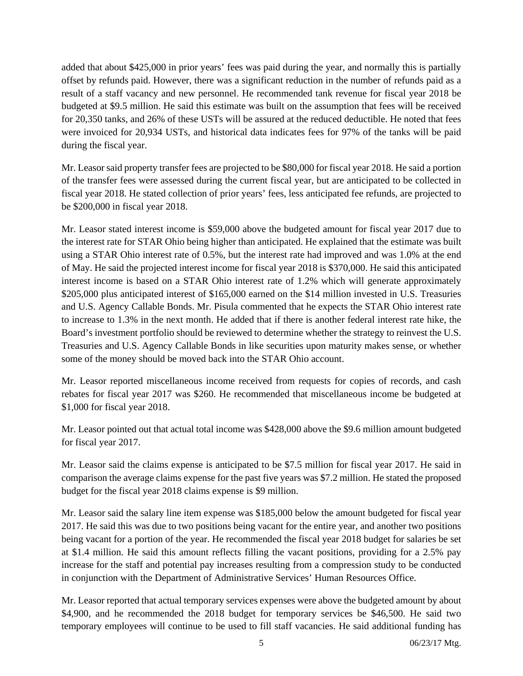added that about \$425,000 in prior years' fees was paid during the year, and normally this is partially offset by refunds paid. However, there was a significant reduction in the number of refunds paid as a result of a staff vacancy and new personnel. He recommended tank revenue for fiscal year 2018 be budgeted at \$9.5 million. He said this estimate was built on the assumption that fees will be received for 20,350 tanks, and 26% of these USTs will be assured at the reduced deductible. He noted that fees were invoiced for 20,934 USTs, and historical data indicates fees for 97% of the tanks will be paid during the fiscal year.

Mr. Leasor said property transfer fees are projected to be \$80,000 for fiscal year 2018. He said a portion of the transfer fees were assessed during the current fiscal year, but are anticipated to be collected in fiscal year 2018. He stated collection of prior years' fees, less anticipated fee refunds, are projected to be \$200,000 in fiscal year 2018.

Mr. Leasor stated interest income is \$59,000 above the budgeted amount for fiscal year 2017 due to the interest rate for STAR Ohio being higher than anticipated. He explained that the estimate was built using a STAR Ohio interest rate of 0.5%, but the interest rate had improved and was 1.0% at the end of May. He said the projected interest income for fiscal year 2018 is \$370,000. He said this anticipated interest income is based on a STAR Ohio interest rate of 1.2% which will generate approximately \$205,000 plus anticipated interest of \$165,000 earned on the \$14 million invested in U.S. Treasuries and U.S. Agency Callable Bonds. Mr. Pisula commented that he expects the STAR Ohio interest rate to increase to 1.3% in the next month. He added that if there is another federal interest rate hike, the Board's investment portfolio should be reviewed to determine whether the strategy to reinvest the U.S. Treasuries and U.S. Agency Callable Bonds in like securities upon maturity makes sense, or whether some of the money should be moved back into the STAR Ohio account.

Mr. Leasor reported miscellaneous income received from requests for copies of records, and cash rebates for fiscal year 2017 was \$260. He recommended that miscellaneous income be budgeted at \$1,000 for fiscal year 2018.

Mr. Leasor pointed out that actual total income was \$428,000 above the \$9.6 million amount budgeted for fiscal year 2017.

Mr. Leasor said the claims expense is anticipated to be \$7.5 million for fiscal year 2017. He said in comparison the average claims expense for the past five years was \$7.2 million. He stated the proposed budget for the fiscal year 2018 claims expense is \$9 million.

Mr. Leasor said the salary line item expense was \$185,000 below the amount budgeted for fiscal year 2017. He said this was due to two positions being vacant for the entire year, and another two positions being vacant for a portion of the year. He recommended the fiscal year 2018 budget for salaries be set at \$1.4 million. He said this amount reflects filling the vacant positions, providing for a 2.5% pay increase for the staff and potential pay increases resulting from a compression study to be conducted in conjunction with the Department of Administrative Services' Human Resources Office.

Mr. Leasor reported that actual temporary services expenses were above the budgeted amount by about \$4,900, and he recommended the 2018 budget for temporary services be \$46,500. He said two temporary employees will continue to be used to fill staff vacancies. He said additional funding has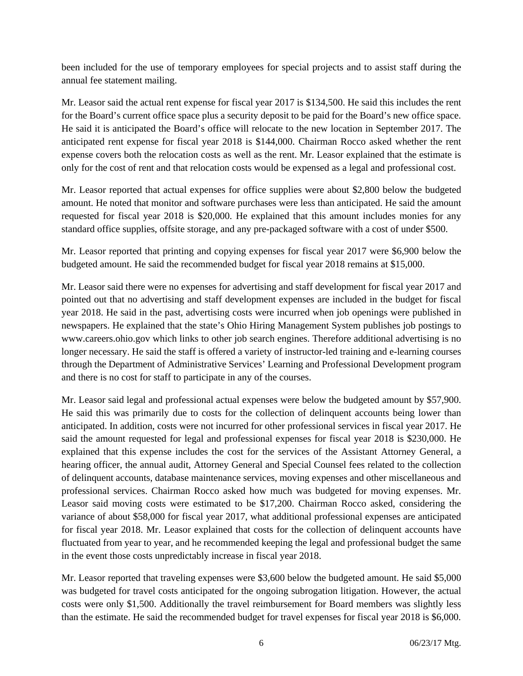been included for the use of temporary employees for special projects and to assist staff during the annual fee statement mailing.

Mr. Leasor said the actual rent expense for fiscal year 2017 is \$134,500. He said this includes the rent for the Board's current office space plus a security deposit to be paid for the Board's new office space. He said it is anticipated the Board's office will relocate to the new location in September 2017. The anticipated rent expense for fiscal year 2018 is \$144,000. Chairman Rocco asked whether the rent expense covers both the relocation costs as well as the rent. Mr. Leasor explained that the estimate is only for the cost of rent and that relocation costs would be expensed as a legal and professional cost.

Mr. Leasor reported that actual expenses for office supplies were about \$2,800 below the budgeted amount. He noted that monitor and software purchases were less than anticipated. He said the amount requested for fiscal year 2018 is \$20,000. He explained that this amount includes monies for any standard office supplies, offsite storage, and any pre-packaged software with a cost of under \$500.

Mr. Leasor reported that printing and copying expenses for fiscal year 2017 were \$6,900 below the budgeted amount. He said the recommended budget for fiscal year 2018 remains at \$15,000.

Mr. Leasor said there were no expenses for advertising and staff development for fiscal year 2017 and pointed out that no advertising and staff development expenses are included in the budget for fiscal year 2018. He said in the past, advertising costs were incurred when job openings were published in newspapers. He explained that the state's Ohio Hiring Management System publishes job postings to www.careers.ohio.gov which links to other job search engines. Therefore additional advertising is no longer necessary. He said the staff is offered a variety of instructor-led training and e-learning courses through the Department of Administrative Services' Learning and Professional Development program and there is no cost for staff to participate in any of the courses.

Mr. Leasor said legal and professional actual expenses were below the budgeted amount by \$57,900. He said this was primarily due to costs for the collection of delinquent accounts being lower than anticipated. In addition, costs were not incurred for other professional services in fiscal year 2017. He said the amount requested for legal and professional expenses for fiscal year 2018 is \$230,000. He explained that this expense includes the cost for the services of the Assistant Attorney General, a hearing officer, the annual audit, Attorney General and Special Counsel fees related to the collection of delinquent accounts, database maintenance services, moving expenses and other miscellaneous and professional services. Chairman Rocco asked how much was budgeted for moving expenses. Mr. Leasor said moving costs were estimated to be \$17,200. Chairman Rocco asked, considering the variance of about \$58,000 for fiscal year 2017, what additional professional expenses are anticipated for fiscal year 2018. Mr. Leasor explained that costs for the collection of delinquent accounts have fluctuated from year to year, and he recommended keeping the legal and professional budget the same in the event those costs unpredictably increase in fiscal year 2018.

Mr. Leasor reported that traveling expenses were \$3,600 below the budgeted amount. He said \$5,000 was budgeted for travel costs anticipated for the ongoing subrogation litigation. However, the actual costs were only \$1,500. Additionally the travel reimbursement for Board members was slightly less than the estimate. He said the recommended budget for travel expenses for fiscal year 2018 is \$6,000.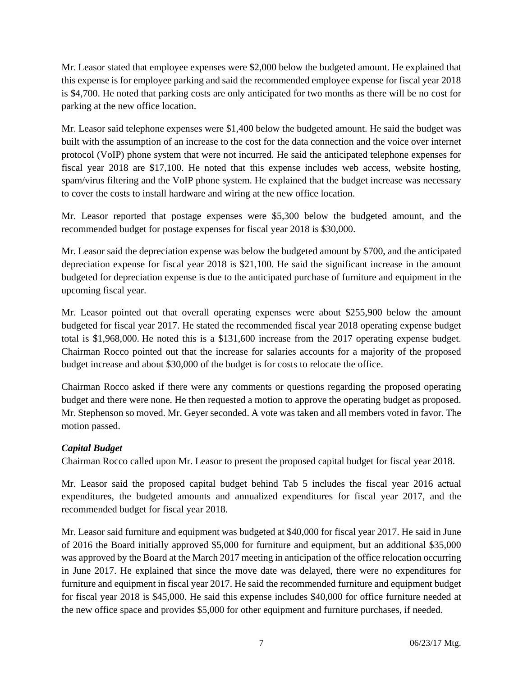Mr. Leasor stated that employee expenses were \$2,000 below the budgeted amount. He explained that this expense is for employee parking and said the recommended employee expense for fiscal year 2018 is \$4,700. He noted that parking costs are only anticipated for two months as there will be no cost for parking at the new office location.

Mr. Leasor said telephone expenses were \$1,400 below the budgeted amount. He said the budget was built with the assumption of an increase to the cost for the data connection and the voice over internet protocol (VoIP) phone system that were not incurred. He said the anticipated telephone expenses for fiscal year 2018 are \$17,100. He noted that this expense includes web access, website hosting, spam/virus filtering and the VoIP phone system. He explained that the budget increase was necessary to cover the costs to install hardware and wiring at the new office location.

Mr. Leasor reported that postage expenses were \$5,300 below the budgeted amount, and the recommended budget for postage expenses for fiscal year 2018 is \$30,000.

Mr. Leasor said the depreciation expense was below the budgeted amount by \$700, and the anticipated depreciation expense for fiscal year 2018 is \$21,100. He said the significant increase in the amount budgeted for depreciation expense is due to the anticipated purchase of furniture and equipment in the upcoming fiscal year.

Mr. Leasor pointed out that overall operating expenses were about \$255,900 below the amount budgeted for fiscal year 2017. He stated the recommended fiscal year 2018 operating expense budget total is \$1,968,000. He noted this is a \$131,600 increase from the 2017 operating expense budget. Chairman Rocco pointed out that the increase for salaries accounts for a majority of the proposed budget increase and about \$30,000 of the budget is for costs to relocate the office.

Chairman Rocco asked if there were any comments or questions regarding the proposed operating budget and there were none. He then requested a motion to approve the operating budget as proposed. Mr. Stephenson so moved. Mr. Geyer seconded. A vote was taken and all members voted in favor. The motion passed.

# *Capital Budget*

Chairman Rocco called upon Mr. Leasor to present the proposed capital budget for fiscal year 2018.

Mr. Leasor said the proposed capital budget behind Tab 5 includes the fiscal year 2016 actual expenditures, the budgeted amounts and annualized expenditures for fiscal year 2017, and the recommended budget for fiscal year 2018.

Mr. Leasor said furniture and equipment was budgeted at \$40,000 for fiscal year 2017. He said in June of 2016 the Board initially approved \$5,000 for furniture and equipment, but an additional \$35,000 was approved by the Board at the March 2017 meeting in anticipation of the office relocation occurring in June 2017. He explained that since the move date was delayed, there were no expenditures for furniture and equipment in fiscal year 2017. He said the recommended furniture and equipment budget for fiscal year 2018 is \$45,000. He said this expense includes \$40,000 for office furniture needed at the new office space and provides \$5,000 for other equipment and furniture purchases, if needed.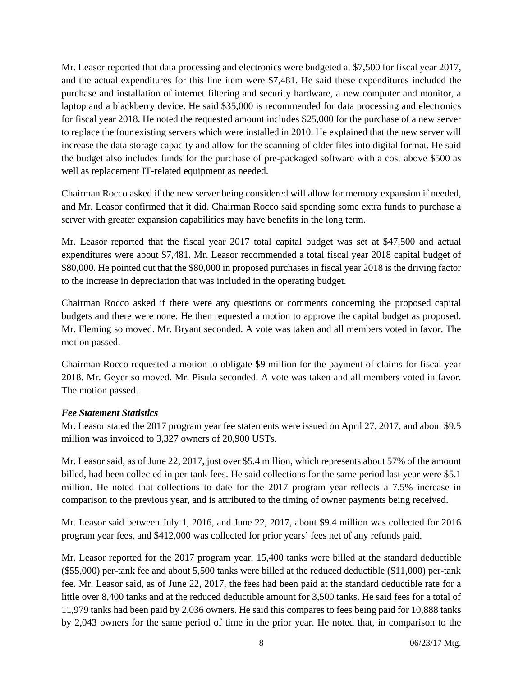Mr. Leasor reported that data processing and electronics were budgeted at \$7,500 for fiscal year 2017, and the actual expenditures for this line item were \$7,481. He said these expenditures included the purchase and installation of internet filtering and security hardware, a new computer and monitor, a laptop and a blackberry device. He said \$35,000 is recommended for data processing and electronics for fiscal year 2018. He noted the requested amount includes \$25,000 for the purchase of a new server to replace the four existing servers which were installed in 2010. He explained that the new server will increase the data storage capacity and allow for the scanning of older files into digital format. He said the budget also includes funds for the purchase of pre-packaged software with a cost above \$500 as well as replacement IT-related equipment as needed.

Chairman Rocco asked if the new server being considered will allow for memory expansion if needed, and Mr. Leasor confirmed that it did. Chairman Rocco said spending some extra funds to purchase a server with greater expansion capabilities may have benefits in the long term.

Mr. Leasor reported that the fiscal year 2017 total capital budget was set at \$47,500 and actual expenditures were about \$7,481. Mr. Leasor recommended a total fiscal year 2018 capital budget of \$80,000. He pointed out that the \$80,000 in proposed purchases in fiscal year 2018 is the driving factor to the increase in depreciation that was included in the operating budget.

Chairman Rocco asked if there were any questions or comments concerning the proposed capital budgets and there were none. He then requested a motion to approve the capital budget as proposed. Mr. Fleming so moved. Mr. Bryant seconded. A vote was taken and all members voted in favor. The motion passed.

Chairman Rocco requested a motion to obligate \$9 million for the payment of claims for fiscal year 2018. Mr. Geyer so moved. Mr. Pisula seconded. A vote was taken and all members voted in favor. The motion passed.

#### *Fee Statement Statistics*

Mr. Leasor stated the 2017 program year fee statements were issued on April 27, 2017, and about \$9.5 million was invoiced to 3,327 owners of 20,900 USTs.

Mr. Leasor said, as of June 22, 2017, just over \$5.4 million, which represents about 57% of the amount billed, had been collected in per-tank fees. He said collections for the same period last year were \$5.1 million. He noted that collections to date for the 2017 program year reflects a 7.5% increase in comparison to the previous year, and is attributed to the timing of owner payments being received.

Mr. Leasor said between July 1, 2016, and June 22, 2017, about \$9.4 million was collected for 2016 program year fees, and \$412,000 was collected for prior years' fees net of any refunds paid.

Mr. Leasor reported for the 2017 program year, 15,400 tanks were billed at the standard deductible (\$55,000) per-tank fee and about 5,500 tanks were billed at the reduced deductible (\$11,000) per-tank fee. Mr. Leasor said, as of June 22, 2017, the fees had been paid at the standard deductible rate for a little over 8,400 tanks and at the reduced deductible amount for 3,500 tanks. He said fees for a total of 11,979 tanks had been paid by 2,036 owners. He said this compares to fees being paid for 10,888 tanks by 2,043 owners for the same period of time in the prior year. He noted that, in comparison to the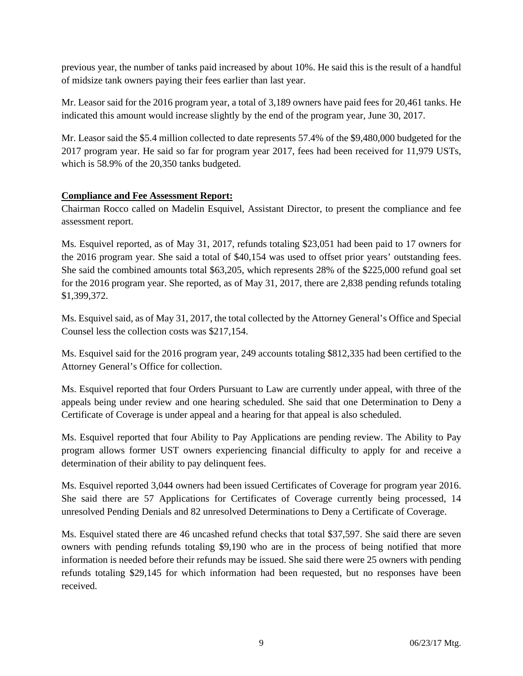previous year, the number of tanks paid increased by about 10%. He said this is the result of a handful of midsize tank owners paying their fees earlier than last year.

Mr. Leasor said for the 2016 program year, a total of 3,189 owners have paid fees for 20,461 tanks. He indicated this amount would increase slightly by the end of the program year, June 30, 2017.

Mr. Leasor said the \$5.4 million collected to date represents 57.4% of the \$9,480,000 budgeted for the 2017 program year. He said so far for program year 2017, fees had been received for 11,979 USTs, which is 58.9% of the 20,350 tanks budgeted.

## **Compliance and Fee Assessment Report:**

Chairman Rocco called on Madelin Esquivel, Assistant Director, to present the compliance and fee assessment report.

Ms. Esquivel reported, as of May 31, 2017, refunds totaling \$23,051 had been paid to 17 owners for the 2016 program year. She said a total of \$40,154 was used to offset prior years' outstanding fees. She said the combined amounts total \$63,205, which represents 28% of the \$225,000 refund goal set for the 2016 program year. She reported, as of May 31, 2017, there are 2,838 pending refunds totaling \$1,399,372.

Ms. Esquivel said, as of May 31, 2017, the total collected by the Attorney General's Office and Special Counsel less the collection costs was \$217,154.

Ms. Esquivel said for the 2016 program year, 249 accounts totaling \$812,335 had been certified to the Attorney General's Office for collection.

Ms. Esquivel reported that four Orders Pursuant to Law are currently under appeal, with three of the appeals being under review and one hearing scheduled. She said that one Determination to Deny a Certificate of Coverage is under appeal and a hearing for that appeal is also scheduled.

Ms. Esquivel reported that four Ability to Pay Applications are pending review. The Ability to Pay program allows former UST owners experiencing financial difficulty to apply for and receive a determination of their ability to pay delinquent fees.

Ms. Esquivel reported 3,044 owners had been issued Certificates of Coverage for program year 2016. She said there are 57 Applications for Certificates of Coverage currently being processed, 14 unresolved Pending Denials and 82 unresolved Determinations to Deny a Certificate of Coverage.

Ms. Esquivel stated there are 46 uncashed refund checks that total \$37,597. She said there are seven owners with pending refunds totaling \$9,190 who are in the process of being notified that more information is needed before their refunds may be issued. She said there were 25 owners with pending refunds totaling \$29,145 for which information had been requested, but no responses have been received.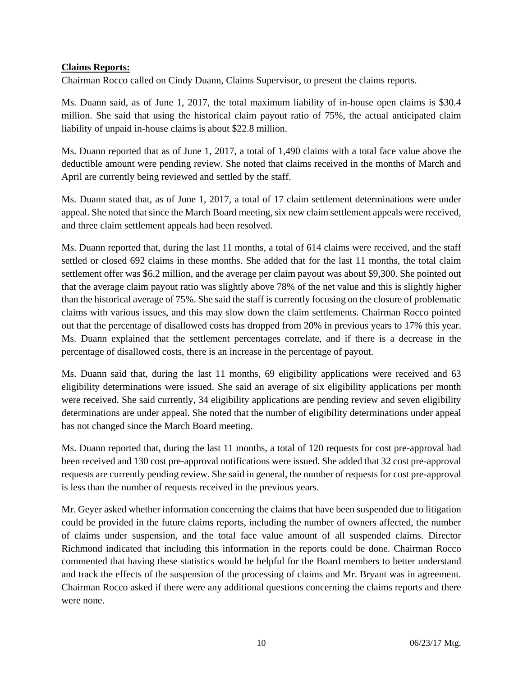#### **Claims Reports:**

Chairman Rocco called on Cindy Duann, Claims Supervisor, to present the claims reports.

Ms. Duann said, as of June 1, 2017, the total maximum liability of in-house open claims is \$30.4 million. She said that using the historical claim payout ratio of 75%, the actual anticipated claim liability of unpaid in-house claims is about \$22.8 million.

Ms. Duann reported that as of June 1, 2017, a total of 1,490 claims with a total face value above the deductible amount were pending review. She noted that claims received in the months of March and April are currently being reviewed and settled by the staff.

Ms. Duann stated that, as of June 1, 2017, a total of 17 claim settlement determinations were under appeal. She noted that since the March Board meeting, six new claim settlement appeals were received, and three claim settlement appeals had been resolved.

Ms. Duann reported that, during the last 11 months, a total of 614 claims were received, and the staff settled or closed 692 claims in these months. She added that for the last 11 months, the total claim settlement offer was \$6.2 million, and the average per claim payout was about \$9,300. She pointed out that the average claim payout ratio was slightly above 78% of the net value and this is slightly higher than the historical average of 75%. She said the staff is currently focusing on the closure of problematic claims with various issues, and this may slow down the claim settlements. Chairman Rocco pointed out that the percentage of disallowed costs has dropped from 20% in previous years to 17% this year. Ms. Duann explained that the settlement percentages correlate, and if there is a decrease in the percentage of disallowed costs, there is an increase in the percentage of payout.

Ms. Duann said that, during the last 11 months, 69 eligibility applications were received and 63 eligibility determinations were issued. She said an average of six eligibility applications per month were received. She said currently, 34 eligibility applications are pending review and seven eligibility determinations are under appeal. She noted that the number of eligibility determinations under appeal has not changed since the March Board meeting.

Ms. Duann reported that, during the last 11 months, a total of 120 requests for cost pre-approval had been received and 130 cost pre-approval notifications were issued. She added that 32 cost pre-approval requests are currently pending review. She said in general, the number of requests for cost pre-approval is less than the number of requests received in the previous years.

Mr. Geyer asked whether information concerning the claims that have been suspended due to litigation could be provided in the future claims reports, including the number of owners affected, the number of claims under suspension, and the total face value amount of all suspended claims. Director Richmond indicated that including this information in the reports could be done. Chairman Rocco commented that having these statistics would be helpful for the Board members to better understand and track the effects of the suspension of the processing of claims and Mr. Bryant was in agreement. Chairman Rocco asked if there were any additional questions concerning the claims reports and there were none.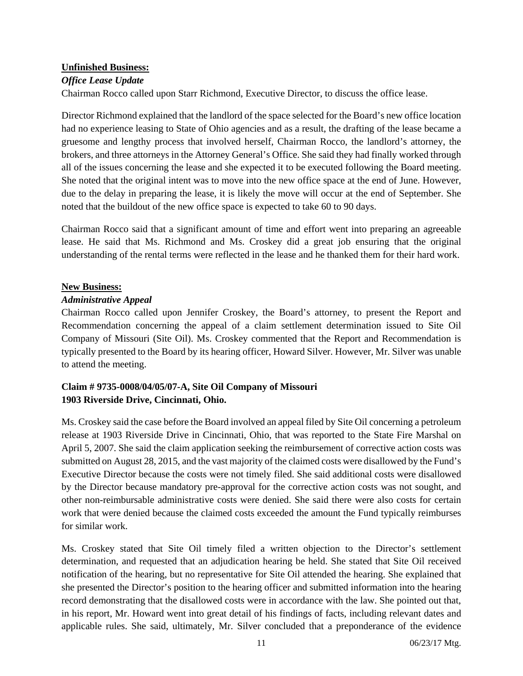#### **Unfinished Business:**

## *Office Lease Update*

Chairman Rocco called upon Starr Richmond, Executive Director, to discuss the office lease.

Director Richmond explained that the landlord of the space selected for the Board's new office location had no experience leasing to State of Ohio agencies and as a result, the drafting of the lease became a gruesome and lengthy process that involved herself, Chairman Rocco, the landlord's attorney, the brokers, and three attorneys in the Attorney General's Office. She said they had finally worked through all of the issues concerning the lease and she expected it to be executed following the Board meeting. She noted that the original intent was to move into the new office space at the end of June. However, due to the delay in preparing the lease, it is likely the move will occur at the end of September. She noted that the buildout of the new office space is expected to take 60 to 90 days.

Chairman Rocco said that a significant amount of time and effort went into preparing an agreeable lease. He said that Ms. Richmond and Ms. Croskey did a great job ensuring that the original understanding of the rental terms were reflected in the lease and he thanked them for their hard work.

#### **New Business:**

#### *Administrative Appeal*

Chairman Rocco called upon Jennifer Croskey, the Board's attorney, to present the Report and Recommendation concerning the appeal of a claim settlement determination issued to Site Oil Company of Missouri (Site Oil). Ms. Croskey commented that the Report and Recommendation is typically presented to the Board by its hearing officer, Howard Silver. However, Mr. Silver was unable to attend the meeting.

# **Claim # 9735-0008/04/05/07-A, Site Oil Company of Missouri 1903 Riverside Drive, Cincinnati, Ohio.**

Ms. Croskey said the case before the Board involved an appeal filed by Site Oil concerning a petroleum release at 1903 Riverside Drive in Cincinnati, Ohio, that was reported to the State Fire Marshal on April 5, 2007. She said the claim application seeking the reimbursement of corrective action costs was submitted on August 28, 2015, and the vast majority of the claimed costs were disallowed by the Fund's Executive Director because the costs were not timely filed. She said additional costs were disallowed by the Director because mandatory pre-approval for the corrective action costs was not sought, and other non-reimbursable administrative costs were denied. She said there were also costs for certain work that were denied because the claimed costs exceeded the amount the Fund typically reimburses for similar work.

Ms. Croskey stated that Site Oil timely filed a written objection to the Director's settlement determination, and requested that an adjudication hearing be held. She stated that Site Oil received notification of the hearing, but no representative for Site Oil attended the hearing. She explained that she presented the Director's position to the hearing officer and submitted information into the hearing record demonstrating that the disallowed costs were in accordance with the law. She pointed out that, in his report, Mr. Howard went into great detail of his findings of facts, including relevant dates and applicable rules. She said, ultimately, Mr. Silver concluded that a preponderance of the evidence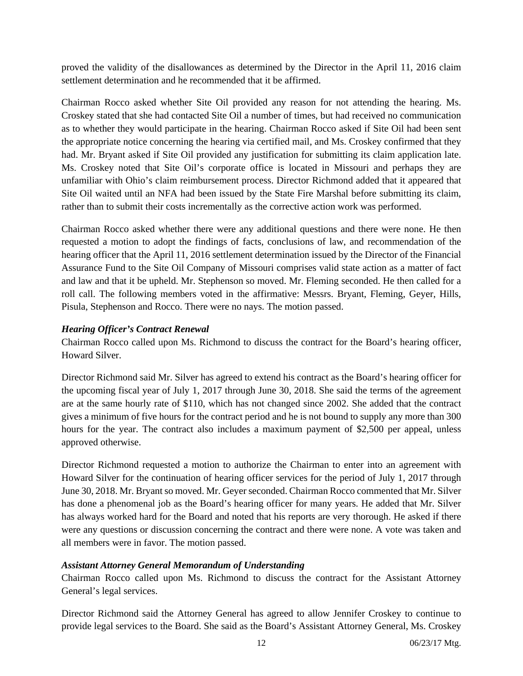proved the validity of the disallowances as determined by the Director in the April 11, 2016 claim settlement determination and he recommended that it be affirmed.

Chairman Rocco asked whether Site Oil provided any reason for not attending the hearing. Ms. Croskey stated that she had contacted Site Oil a number of times, but had received no communication as to whether they would participate in the hearing. Chairman Rocco asked if Site Oil had been sent the appropriate notice concerning the hearing via certified mail, and Ms. Croskey confirmed that they had. Mr. Bryant asked if Site Oil provided any justification for submitting its claim application late. Ms. Croskey noted that Site Oil's corporate office is located in Missouri and perhaps they are unfamiliar with Ohio's claim reimbursement process. Director Richmond added that it appeared that Site Oil waited until an NFA had been issued by the State Fire Marshal before submitting its claim, rather than to submit their costs incrementally as the corrective action work was performed.

Chairman Rocco asked whether there were any additional questions and there were none. He then requested a motion to adopt the findings of facts, conclusions of law, and recommendation of the hearing officer that the April 11, 2016 settlement determination issued by the Director of the Financial Assurance Fund to the Site Oil Company of Missouri comprises valid state action as a matter of fact and law and that it be upheld. Mr. Stephenson so moved. Mr. Fleming seconded. He then called for a roll call. The following members voted in the affirmative: Messrs. Bryant, Fleming, Geyer, Hills, Pisula, Stephenson and Rocco. There were no nays. The motion passed.

#### *Hearing Officer's Contract Renewal*

Chairman Rocco called upon Ms. Richmond to discuss the contract for the Board's hearing officer, Howard Silver.

Director Richmond said Mr. Silver has agreed to extend his contract as the Board's hearing officer for the upcoming fiscal year of July 1, 2017 through June 30, 2018. She said the terms of the agreement are at the same hourly rate of \$110, which has not changed since 2002. She added that the contract gives a minimum of five hours for the contract period and he is not bound to supply any more than 300 hours for the year. The contract also includes a maximum payment of \$2,500 per appeal, unless approved otherwise.

Director Richmond requested a motion to authorize the Chairman to enter into an agreement with Howard Silver for the continuation of hearing officer services for the period of July 1, 2017 through June 30, 2018. Mr. Bryant so moved. Mr. Geyer seconded. Chairman Rocco commented that Mr. Silver has done a phenomenal job as the Board's hearing officer for many years. He added that Mr. Silver has always worked hard for the Board and noted that his reports are very thorough. He asked if there were any questions or discussion concerning the contract and there were none. A vote was taken and all members were in favor. The motion passed.

#### *Assistant Attorney General Memorandum of Understanding*

Chairman Rocco called upon Ms. Richmond to discuss the contract for the Assistant Attorney General's legal services.

Director Richmond said the Attorney General has agreed to allow Jennifer Croskey to continue to provide legal services to the Board. She said as the Board's Assistant Attorney General, Ms. Croskey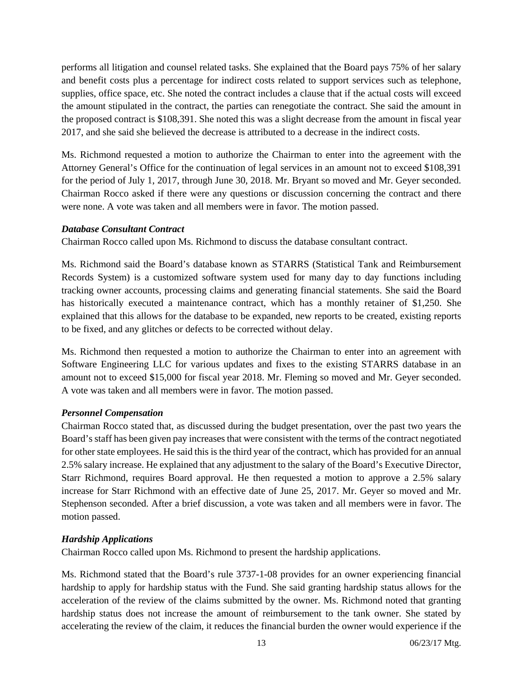performs all litigation and counsel related tasks. She explained that the Board pays 75% of her salary and benefit costs plus a percentage for indirect costs related to support services such as telephone, supplies, office space, etc. She noted the contract includes a clause that if the actual costs will exceed the amount stipulated in the contract, the parties can renegotiate the contract. She said the amount in the proposed contract is \$108,391. She noted this was a slight decrease from the amount in fiscal year 2017, and she said she believed the decrease is attributed to a decrease in the indirect costs.

Ms. Richmond requested a motion to authorize the Chairman to enter into the agreement with the Attorney General's Office for the continuation of legal services in an amount not to exceed \$108,391 for the period of July 1, 2017, through June 30, 2018. Mr. Bryant so moved and Mr. Geyer seconded. Chairman Rocco asked if there were any questions or discussion concerning the contract and there were none. A vote was taken and all members were in favor. The motion passed.

#### *Database Consultant Contract*

Chairman Rocco called upon Ms. Richmond to discuss the database consultant contract.

Ms. Richmond said the Board's database known as STARRS (Statistical Tank and Reimbursement Records System) is a customized software system used for many day to day functions including tracking owner accounts, processing claims and generating financial statements. She said the Board has historically executed a maintenance contract, which has a monthly retainer of \$1,250. She explained that this allows for the database to be expanded, new reports to be created, existing reports to be fixed, and any glitches or defects to be corrected without delay.

Ms. Richmond then requested a motion to authorize the Chairman to enter into an agreement with Software Engineering LLC for various updates and fixes to the existing STARRS database in an amount not to exceed \$15,000 for fiscal year 2018. Mr. Fleming so moved and Mr. Geyer seconded. A vote was taken and all members were in favor. The motion passed.

#### *Personnel Compensation*

Chairman Rocco stated that, as discussed during the budget presentation, over the past two years the Board's staff has been given pay increases that were consistent with the terms of the contract negotiated for other state employees. He said this is the third year of the contract, which has provided for an annual 2.5% salary increase. He explained that any adjustment to the salary of the Board's Executive Director, Starr Richmond, requires Board approval. He then requested a motion to approve a 2.5% salary increase for Starr Richmond with an effective date of June 25, 2017. Mr. Geyer so moved and Mr. Stephenson seconded. After a brief discussion, a vote was taken and all members were in favor. The motion passed.

# *Hardship Applications*

Chairman Rocco called upon Ms. Richmond to present the hardship applications.

Ms. Richmond stated that the Board's rule 3737-1-08 provides for an owner experiencing financial hardship to apply for hardship status with the Fund. She said granting hardship status allows for the acceleration of the review of the claims submitted by the owner. Ms. Richmond noted that granting hardship status does not increase the amount of reimbursement to the tank owner. She stated by accelerating the review of the claim, it reduces the financial burden the owner would experience if the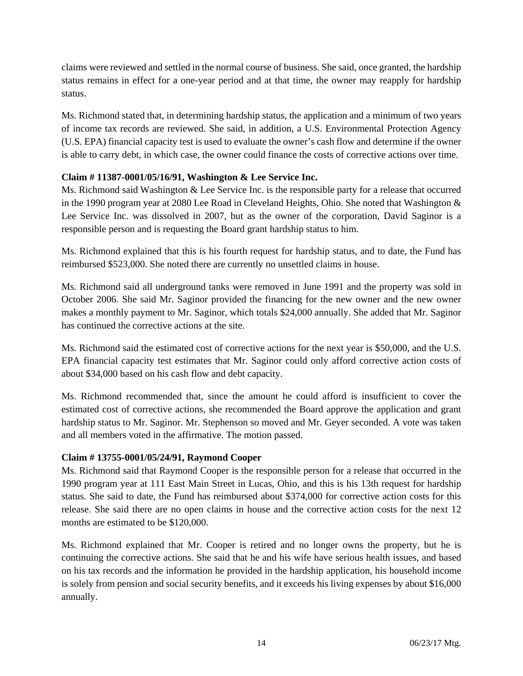claims were reviewed and settled in the normal course of business. She said, once granted, the hardship status remains in effect for a one-year period and at that time, the owner may reapply for hardship status.

Ms. Richmond stated that, in determining hardship status, the application and a minimum of two years of income tax records are reviewed. She said, in addition, a U.S. Environmental Protection Agency (U.S. EPA) financial capacity test is used to evaluate the owner's cash flow and determine if the owner is able to carry debt, in which case, the owner could finance the costs of corrective actions over time.

# **Claim # 11387-0001/05/16/91, Washington & Lee Service Inc.**

Ms. Richmond said Washington & Lee Service Inc. is the responsible party for a release that occurred in the 1990 program year at 2080 Lee Road in Cleveland Heights, Ohio. She noted that Washington & Lee Service Inc. was dissolved in 2007, but as the owner of the corporation, David Saginor is a responsible person and is requesting the Board grant hardship status to him.

Ms. Richmond explained that this is his fourth request for hardship status, and to date, the Fund has reimbursed \$523,000. She noted there are currently no unsettled claims in house.

Ms. Richmond said all underground tanks were removed in June 1991 and the property was sold in October 2006. She said Mr. Saginor provided the financing for the new owner and the new owner makes a monthly payment to Mr. Saginor, which totals \$24,000 annually. She added that Mr. Saginor has continued the corrective actions at the site.

Ms. Richmond said the estimated cost of corrective actions for the next year is \$50,000, and the U.S. EPA financial capacity test estimates that Mr. Saginor could only afford corrective action costs of about \$34,000 based on his cash flow and debt capacity.

Ms. Richmond recommended that, since the amount he could afford is insufficient to cover the estimated cost of corrective actions, she recommended the Board approve the application and grant hardship status to Mr. Saginor. Mr. Stephenson so moved and Mr. Geyer seconded. A vote was taken and all members voted in the affirmative. The motion passed.

#### **Claim # 13755-0001/05/24/91, Raymond Cooper**

Ms. Richmond said that Raymond Cooper is the responsible person for a release that occurred in the 1990 program year at 111 East Main Street in Lucas, Ohio, and this is his 13th request for hardship status. She said to date, the Fund has reimbursed about \$374,000 for corrective action costs for this release. She said there are no open claims in house and the corrective action costs for the next 12 months are estimated to be \$120,000.

Ms. Richmond explained that Mr. Cooper is retired and no longer owns the property, but he is continuing the corrective actions. She said that he and his wife have serious health issues, and based on his tax records and the information he provided in the hardship application, his household income is solely from pension and social security benefits, and it exceeds his living expenses by about \$16,000 annually.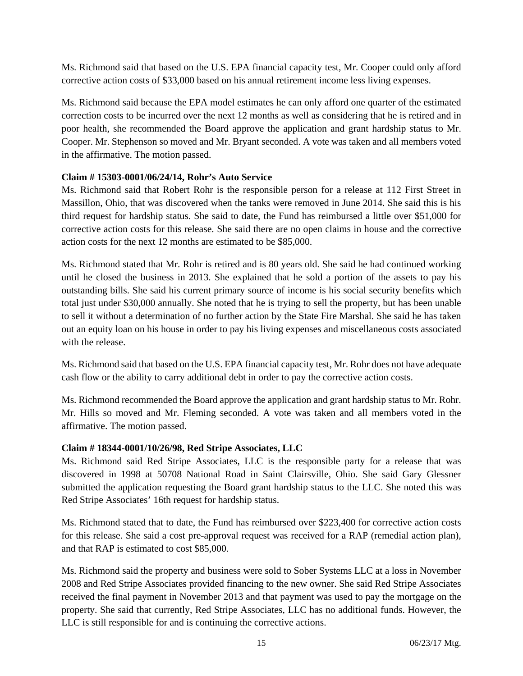Ms. Richmond said that based on the U.S. EPA financial capacity test, Mr. Cooper could only afford corrective action costs of \$33,000 based on his annual retirement income less living expenses.

Ms. Richmond said because the EPA model estimates he can only afford one quarter of the estimated correction costs to be incurred over the next 12 months as well as considering that he is retired and in poor health, she recommended the Board approve the application and grant hardship status to Mr. Cooper. Mr. Stephenson so moved and Mr. Bryant seconded. A vote was taken and all members voted in the affirmative. The motion passed.

#### **Claim # 15303-0001/06/24/14, Rohr's Auto Service**

Ms. Richmond said that Robert Rohr is the responsible person for a release at 112 First Street in Massillon, Ohio, that was discovered when the tanks were removed in June 2014. She said this is his third request for hardship status. She said to date, the Fund has reimbursed a little over \$51,000 for corrective action costs for this release. She said there are no open claims in house and the corrective action costs for the next 12 months are estimated to be \$85,000.

Ms. Richmond stated that Mr. Rohr is retired and is 80 years old. She said he had continued working until he closed the business in 2013. She explained that he sold a portion of the assets to pay his outstanding bills. She said his current primary source of income is his social security benefits which total just under \$30,000 annually. She noted that he is trying to sell the property, but has been unable to sell it without a determination of no further action by the State Fire Marshal. She said he has taken out an equity loan on his house in order to pay his living expenses and miscellaneous costs associated with the release.

Ms. Richmond said that based on the U.S. EPA financial capacity test, Mr. Rohr does not have adequate cash flow or the ability to carry additional debt in order to pay the corrective action costs.

Ms. Richmond recommended the Board approve the application and grant hardship status to Mr. Rohr. Mr. Hills so moved and Mr. Fleming seconded. A vote was taken and all members voted in the affirmative. The motion passed.

#### **Claim # 18344-0001/10/26/98, Red Stripe Associates, LLC**

Ms. Richmond said Red Stripe Associates, LLC is the responsible party for a release that was discovered in 1998 at 50708 National Road in Saint Clairsville, Ohio. She said Gary Glessner submitted the application requesting the Board grant hardship status to the LLC. She noted this was Red Stripe Associates' 16th request for hardship status.

Ms. Richmond stated that to date, the Fund has reimbursed over \$223,400 for corrective action costs for this release. She said a cost pre-approval request was received for a RAP (remedial action plan), and that RAP is estimated to cost \$85,000.

Ms. Richmond said the property and business were sold to Sober Systems LLC at a loss in November 2008 and Red Stripe Associates provided financing to the new owner. She said Red Stripe Associates received the final payment in November 2013 and that payment was used to pay the mortgage on the property. She said that currently, Red Stripe Associates, LLC has no additional funds. However, the LLC is still responsible for and is continuing the corrective actions.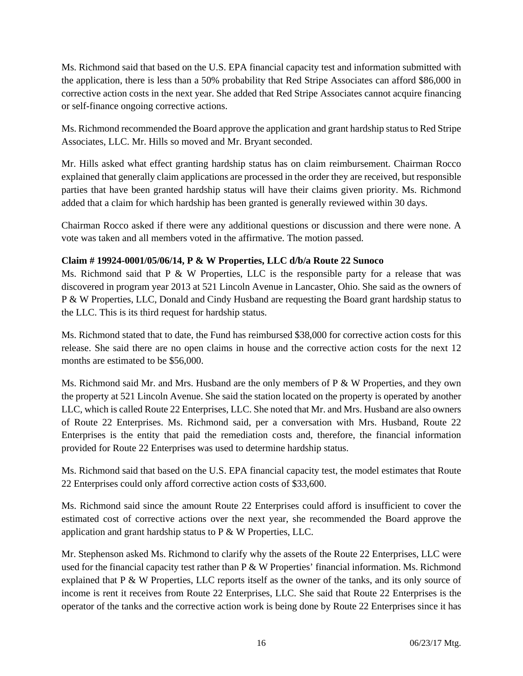Ms. Richmond said that based on the U.S. EPA financial capacity test and information submitted with the application, there is less than a 50% probability that Red Stripe Associates can afford \$86,000 in corrective action costs in the next year. She added that Red Stripe Associates cannot acquire financing or self-finance ongoing corrective actions.

Ms. Richmond recommended the Board approve the application and grant hardship status to Red Stripe Associates, LLC. Mr. Hills so moved and Mr. Bryant seconded.

Mr. Hills asked what effect granting hardship status has on claim reimbursement. Chairman Rocco explained that generally claim applications are processed in the order they are received, but responsible parties that have been granted hardship status will have their claims given priority. Ms. Richmond added that a claim for which hardship has been granted is generally reviewed within 30 days.

Chairman Rocco asked if there were any additional questions or discussion and there were none. A vote was taken and all members voted in the affirmative. The motion passed.

## **Claim # 19924-0001/05/06/14, P & W Properties, LLC d/b/a Route 22 Sunoco**

Ms. Richmond said that P  $\&$  W Properties, LLC is the responsible party for a release that was discovered in program year 2013 at 521 Lincoln Avenue in Lancaster, Ohio. She said as the owners of P & W Properties, LLC, Donald and Cindy Husband are requesting the Board grant hardship status to the LLC. This is its third request for hardship status.

Ms. Richmond stated that to date, the Fund has reimbursed \$38,000 for corrective action costs for this release. She said there are no open claims in house and the corrective action costs for the next 12 months are estimated to be \$56,000.

Ms. Richmond said Mr. and Mrs. Husband are the only members of  $P \& W$  Properties, and they own the property at 521 Lincoln Avenue. She said the station located on the property is operated by another LLC, which is called Route 22 Enterprises, LLC. She noted that Mr. and Mrs. Husband are also owners of Route 22 Enterprises. Ms. Richmond said, per a conversation with Mrs. Husband, Route 22 Enterprises is the entity that paid the remediation costs and, therefore, the financial information provided for Route 22 Enterprises was used to determine hardship status.

Ms. Richmond said that based on the U.S. EPA financial capacity test, the model estimates that Route 22 Enterprises could only afford corrective action costs of \$33,600.

Ms. Richmond said since the amount Route 22 Enterprises could afford is insufficient to cover the estimated cost of corrective actions over the next year, she recommended the Board approve the application and grant hardship status to P & W Properties, LLC.

Mr. Stephenson asked Ms. Richmond to clarify why the assets of the Route 22 Enterprises, LLC were used for the financial capacity test rather than P & W Properties' financial information. Ms. Richmond explained that  $P \& W$  Properties, LLC reports itself as the owner of the tanks, and its only source of income is rent it receives from Route 22 Enterprises, LLC. She said that Route 22 Enterprises is the operator of the tanks and the corrective action work is being done by Route 22 Enterprises since it has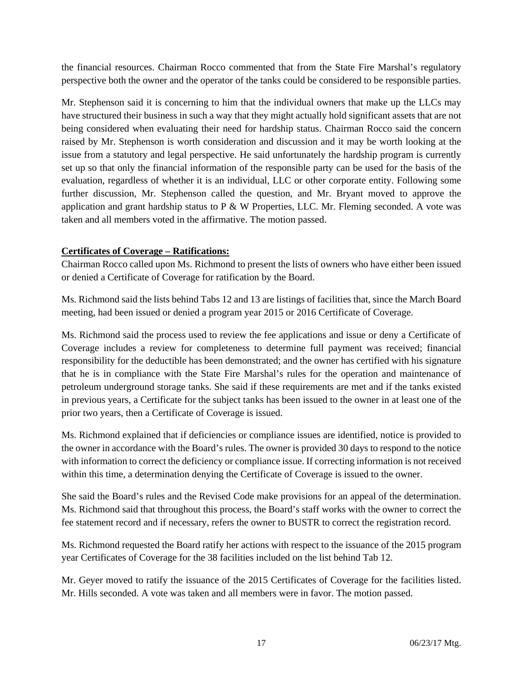the financial resources. Chairman Rocco commented that from the State Fire Marshal's regulatory perspective both the owner and the operator of the tanks could be considered to be responsible parties.

Mr. Stephenson said it is concerning to him that the individual owners that make up the LLCs may have structured their business in such a way that they might actually hold significant assets that are not being considered when evaluating their need for hardship status. Chairman Rocco said the concern raised by Mr. Stephenson is worth consideration and discussion and it may be worth looking at the issue from a statutory and legal perspective. He said unfortunately the hardship program is currently set up so that only the financial information of the responsible party can be used for the basis of the evaluation, regardless of whether it is an individual, LLC or other corporate entity. Following some further discussion, Mr. Stephenson called the question, and Mr. Bryant moved to approve the application and grant hardship status to P & W Properties, LLC. Mr. Fleming seconded. A vote was taken and all members voted in the affirmative. The motion passed.

#### **Certificates of Coverage – Ratifications:**

Chairman Rocco called upon Ms. Richmond to present the lists of owners who have either been issued or denied a Certificate of Coverage for ratification by the Board.

Ms. Richmond said the lists behind Tabs 12 and 13 are listings of facilities that, since the March Board meeting, had been issued or denied a program year 2015 or 2016 Certificate of Coverage.

Ms. Richmond said the process used to review the fee applications and issue or deny a Certificate of Coverage includes a review for completeness to determine full payment was received; financial responsibility for the deductible has been demonstrated; and the owner has certified with his signature that he is in compliance with the State Fire Marshal's rules for the operation and maintenance of petroleum underground storage tanks. She said if these requirements are met and if the tanks existed in previous years, a Certificate for the subject tanks has been issued to the owner in at least one of the prior two years, then a Certificate of Coverage is issued.

Ms. Richmond explained that if deficiencies or compliance issues are identified, notice is provided to the owner in accordance with the Board's rules. The owner is provided 30 days to respond to the notice with information to correct the deficiency or compliance issue. If correcting information is not received within this time, a determination denying the Certificate of Coverage is issued to the owner.

She said the Board's rules and the Revised Code make provisions for an appeal of the determination. Ms. Richmond said that throughout this process, the Board's staff works with the owner to correct the fee statement record and if necessary, refers the owner to BUSTR to correct the registration record.

Ms. Richmond requested the Board ratify her actions with respect to the issuance of the 2015 program year Certificates of Coverage for the 38 facilities included on the list behind Tab 12.

Mr. Geyer moved to ratify the issuance of the 2015 Certificates of Coverage for the facilities listed. Mr. Hills seconded. A vote was taken and all members were in favor. The motion passed.